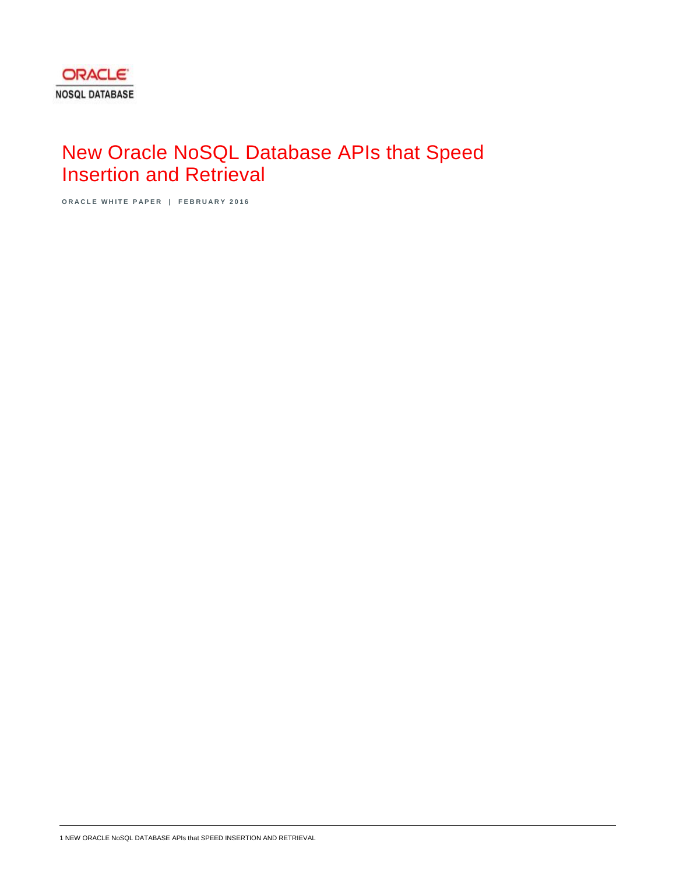# New Oracle NoSQL Database APIs that Speed Insertion and Retrieval

**ORACLE WHITE PAPER | FEBRUARY 2016**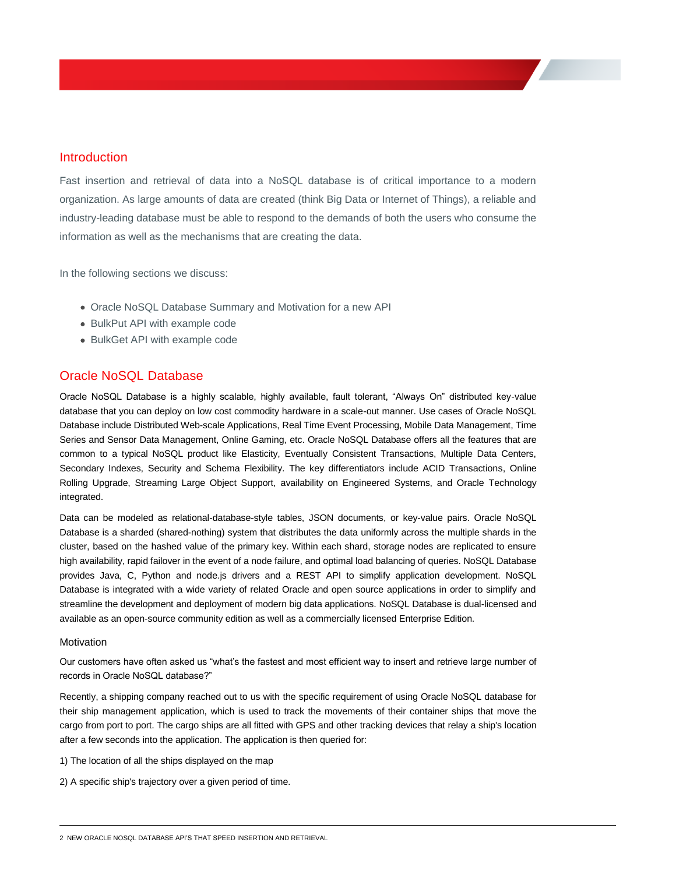# Introduction

Fast insertion and retrieval of data into a NoSQL database is of critical importance to a modern organization. As large amounts of data are created (think Big Data or Internet of Things), a reliable and industry-leading database must be able to respond to the demands of both the users who consume the information as well as the mechanisms that are creating the data.

In the following sections we discuss:

- Oracle NoSQL Database Summary and Motivation for a new API
- BulkPut API with example code
- BulkGet API with example code

## Oracle NoSQL Database

Oracle NoSQL Database is a highly scalable, highly available, fault tolerant, "Always On" distributed key-value database that you can deploy on low cost commodity hardware in a scale-out manner. Use cases of Oracle NoSQL Database include Distributed Web-scale Applications, Real Time Event Processing, Mobile Data Management, Time Series and Sensor Data Management, Online Gaming, etc. Oracle NoSQL Database offers all the features that are common to a typical NoSQL product like Elasticity, Eventually Consistent Transactions, Multiple Data Centers, Secondary Indexes, Security and Schema Flexibility. The key differentiators include ACID Transactions, Online Rolling Upgrade, Streaming Large Object Support, availability on Engineered Systems, and Oracle Technology integrated.

Data can be modeled as relational-database-style tables, JSON documents, or key-value pairs. Oracle NoSQL Database is a sharded (shared-nothing) system that distributes the data uniformly across the multiple shards in the cluster, based on the hashed value of the primary key. Within each shard, storage nodes are replicated to ensure high availability, rapid failover in the event of a node failure, and optimal load balancing of queries. NoSQL Database provides Java, C, Python and node.js drivers and a REST API to simplify application development. NoSQL Database is integrated with a wide variety of related Oracle and open source applications in order to simplify and streamline the development and deployment of modern big data applications. NoSQL Database is dual-licensed and available as an open-source community edition as well as a commercially licensed Enterprise Edition.

## **Motivation**

Our customers have often asked us "what's the fastest and most efficient way to insert and retrieve large number of records in Oracle NoSQL database?"

Recently, a shipping company reached out to us with the specific requirement of using Oracle NoSQL database for their ship management application, which is used to track the movements of their container ships that move the cargo from port to port. The cargo ships are all fitted with GPS and other tracking devices that relay a ship's location after a few seconds into the application. The application is then queried for:

- 1) The location of all the ships displayed on the map
- 2) A specific ship's trajectory over a given period of time.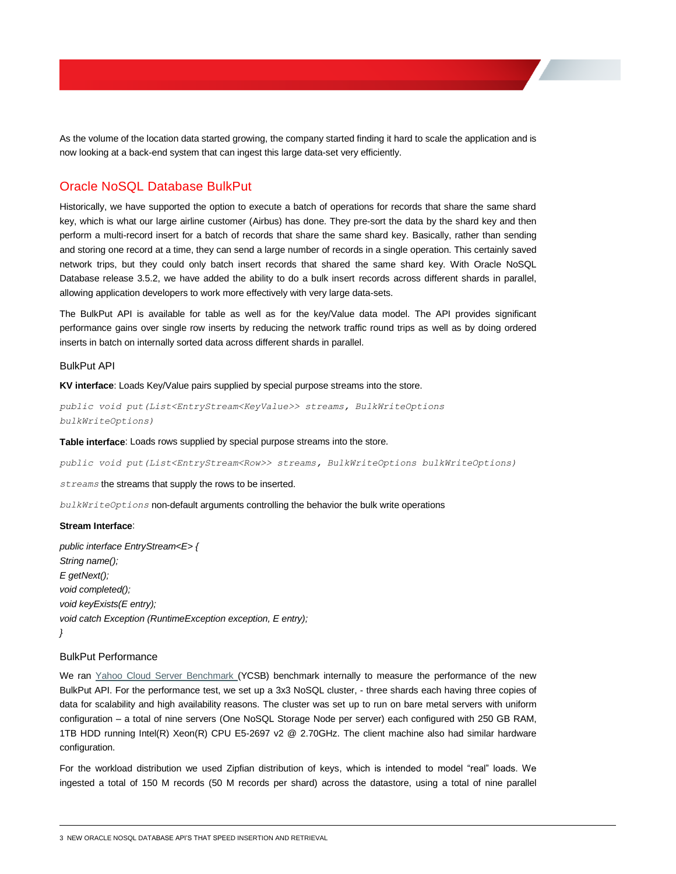As the volume of the location data started growing, the company started finding it hard to scale the application and is now looking at a back-end system that can ingest this large data-set very efficiently.

# Oracle NoSQL Database BulkPut

Historically, we have supported the option to execute a batch of operations for records that share the same shard key, which is what our large airline customer (Airbus) has done. They pre-sort the data by the shard key and then perform a multi-record insert for a batch of records that share the same shard key. Basically, rather than sending and storing one record at a time, they can send a large number of records in a single operation. This certainly saved network trips, but they could only batch insert records that shared the same shard key. With Oracle NoSQL Database release 3.5.2, we have added the ability to do a bulk insert records across different shards in parallel, allowing application developers to work more effectively with very large data-sets.

The BulkPut API is available for table as well as for the key/Value data model. The API provides significant performance gains over single row inserts by reducing the network traffic round trips as well as by doing ordered inserts in batch on internally sorted data across different shards in parallel.

#### BulkPut API

**KV interface**: Loads Key/Value pairs supplied by special purpose streams into the store.

*public void put(List<EntryStream<KeyValue>> streams, BulkWriteOptions bulkWriteOptions)*

#### **Table interface**: Loads rows supplied by special purpose streams into the store.

*public void put(List<EntryStream<Row>> streams, BulkWriteOptions bulkWriteOptions)*

*streams* the streams that supply the rows to be inserted.

*bulkWriteOptions* non-default arguments controlling the behavior the bulk write operations

#### **Stream Interface**:

*public interface EntryStream<E> { String name(); E getNext(); void completed(); void keyExists(E entry); void catch Exception (RuntimeException exception, E entry); }*

## BulkPut Performance

We ran [Yahoo Cloud Server Benchmark \(](https://www.cs.duke.edu/courses/fall13/compsci590.4/838-CloudPapers/ycsb.pdf)YCSB) benchmark internally to measure the performance of the new BulkPut API. For the performance test, we set up a 3x3 NoSQL cluster, - three shards each having three copies of data for scalability and high availability reasons. The cluster was set up to run on bare metal servers with uniform configuration – a total of nine servers (One NoSQL Storage Node per server) each configured with 250 GB RAM, 1TB HDD running Intel(R) Xeon(R) CPU E5-2697 v2 @ 2.70GHz. The client machine also had similar hardware configuration.

For the workload distribution we used Zipfian distribution of keys, which is intended to model "real" loads. We ingested a total of 150 M records (50 M records per shard) across the datastore, using a total of nine parallel

<sup>3</sup> NEW ORACLE NOSQL DATABASE API'S THAT SPEED INSERTION AND RETRIEVAL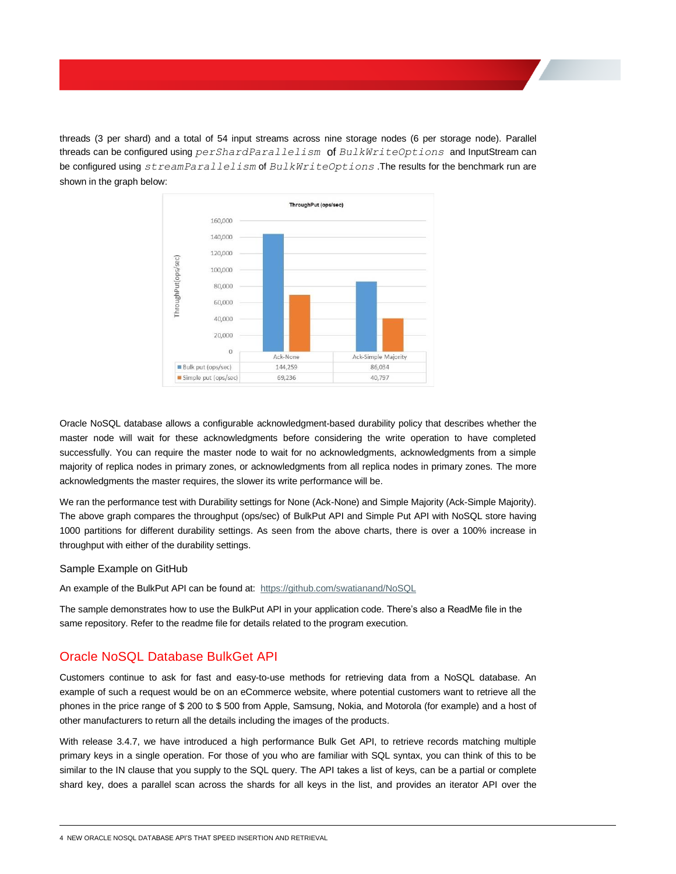threads (3 per shard) and a total of 54 input streams across nine storage nodes (6 per storage node). Parallel threads can be configured using *perShardParallelism* of *BulkWriteOptions* and InputStream can be configured using *streamParallelism* of *BulkWriteOptions* .The results for the benchmark run are shown in the graph below:



Oracle NoSQL database allows a configurable acknowledgment-based durability policy that describes whether the master node will wait for these acknowledgments before considering the write operation to have completed successfully. You can require the master node to wait for no acknowledgments, acknowledgments from a simple majority of replica nodes in primary zones, or acknowledgments from all replica nodes in primary zones. The more acknowledgments the master requires, the slower its write performance will be.

We ran the performance test with Durability settings for None (Ack-None) and Simple Majority (Ack-Simple Majority). The above graph compares the throughput (ops/sec) of BulkPut API and Simple Put API with NoSQL store having 1000 partitions for different durability settings. As seen from the above charts, there is over a 100% increase in throughput with either of the durability settings.

### Sample Example on GitHub

An example of the BulkPut API can be found at: <https://github.com/swatianand/NoSQL>

The sample demonstrates how to use the BulkPut API in your application code. There's also a ReadMe file in the same repository. Refer to the readme file for details related to the program execution.

# Oracle NoSQL Database BulkGet API

Customers continue to ask for fast and easy-to-use methods for retrieving data from a NoSQL database. An example of such a request would be on an eCommerce website, where potential customers want to retrieve all the phones in the price range of \$ 200 to \$ 500 from Apple, Samsung, Nokia, and Motorola (for example) and a host of other manufacturers to return all the details including the images of the products.

With release 3.4.7, we have introduced a high performance Bulk Get API, to retrieve records matching multiple primary keys in a single operation. For those of you who are familiar with SQL syntax, you can think of this to be similar to the IN clause that you supply to the SQL query. The API takes a list of keys, can be a partial or complete shard key, does a parallel scan across the shards for all keys in the list, and provides an iterator API over the

```
4 NEW ORACLE NOSQL DATABASE API'S THAT SPEED INSERTION AND RETRIEVAL
```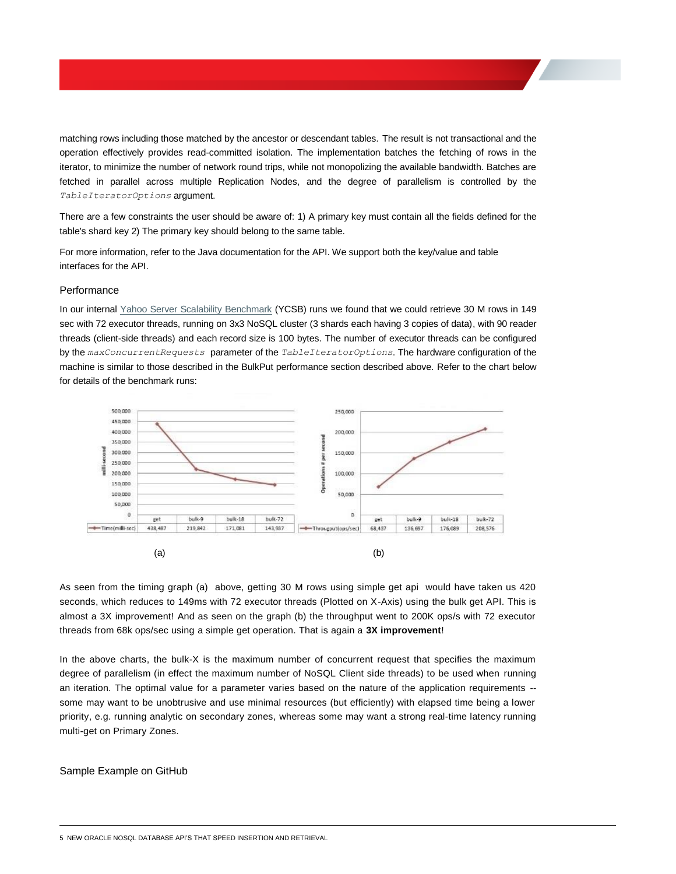matching rows including those matched by the ancestor or descendant tables. The result is not transactional and the operation effectively provides read-committed isolation. The implementation batches the fetching of rows in the iterator, to minimize the number of network round trips, while not monopolizing the available bandwidth. Batches are fetched in parallel across multiple Replication Nodes, and the degree of parallelism is controlled by the *TableIteratorOptions* argument.

There are a few constraints the user should be aware of: 1) A primary key must contain all the fields defined for the table's shard key 2) The primary key should belong to the same table.

For more information, refer to the Java documentation for the API. We support both the key/value and table interfaces for the API.

## **Performance**

In our internal [Yahoo Server Scalability Benchmark](https://www.cs.duke.edu/courses/fall13/compsci590.4/838-CloudPapers/ycsb.pdf) (YCSB) runs we found that we could retrieve 30 M rows in 149 sec with 72 executor threads, running on 3x3 NoSQL cluster (3 shards each having 3 copies of data), with 90 reader threads (client-side threads) and each record size is 100 bytes. The number of executor threads can be configured by the *maxConcurrentRequests* parameter of the *TableIteratorOptions*. The hardware configuration of the machine is similar to those described in the BulkPut performance section described above. Refer to the chart below for details of the benchmark runs:



As seen from the timing graph (a) above, getting 30 M rows using simple get api would have taken us 420 seconds, which reduces to 149ms with 72 executor threads (Plotted on X-Axis) using the bulk get API. This is almost a 3X improvement! And as seen on the graph (b) the throughput went to 200K ops/s with 72 executor threads from 68k ops/sec using a simple get operation. That is again a **3X improvement**!

In the above charts, the bulk-X is the maximum number of concurrent request that specifies the maximum degree of parallelism (in effect the maximum number of NoSQL Client side threads) to be used when running an iteration. The optimal value for a parameter varies based on the nature of the application requirements - some may want to be unobtrusive and use minimal resources (but efficiently) with elapsed time being a lower priority, e.g. running analytic on secondary zones, whereas some may want a strong real-time latency running multi-get on Primary Zones.

### Sample Example on GitHub

5 NEW ORACLE NOSQL DATABASE API'S THAT SPEED INSERTION AND RETRIEVAL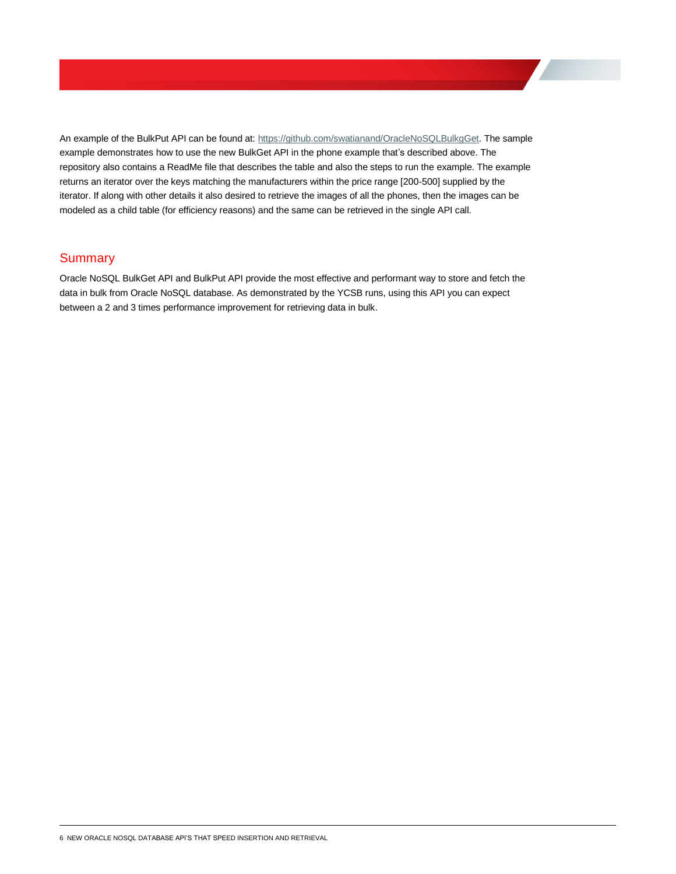An example of the BulkPut API can be found at[: https://github.com/swatianand/OracleNoSQLBulkgGet.](https://github.com/swatianand/OracleNoSQLBulkgGet) The sample example demonstrates how to use the new BulkGet API in the phone example that's described above. The repository also contains a ReadMe file that describes the table and also the steps to run the example. The example returns an iterator over the keys matching the manufacturers within the price range [200-500] supplied by the iterator. If along with other details it also desired to retrieve the images of all the phones, then the images can be modeled as a child table (for efficiency reasons) and the same can be retrieved in the single API call.

# **Summary**

Oracle NoSQL BulkGet API and BulkPut API provide the most effective and performant way to store and fetch the data in bulk from Oracle NoSQL database. As demonstrated by the YCSB runs, using this API you can expect between a 2 and 3 times performance improvement for retrieving data in bulk.